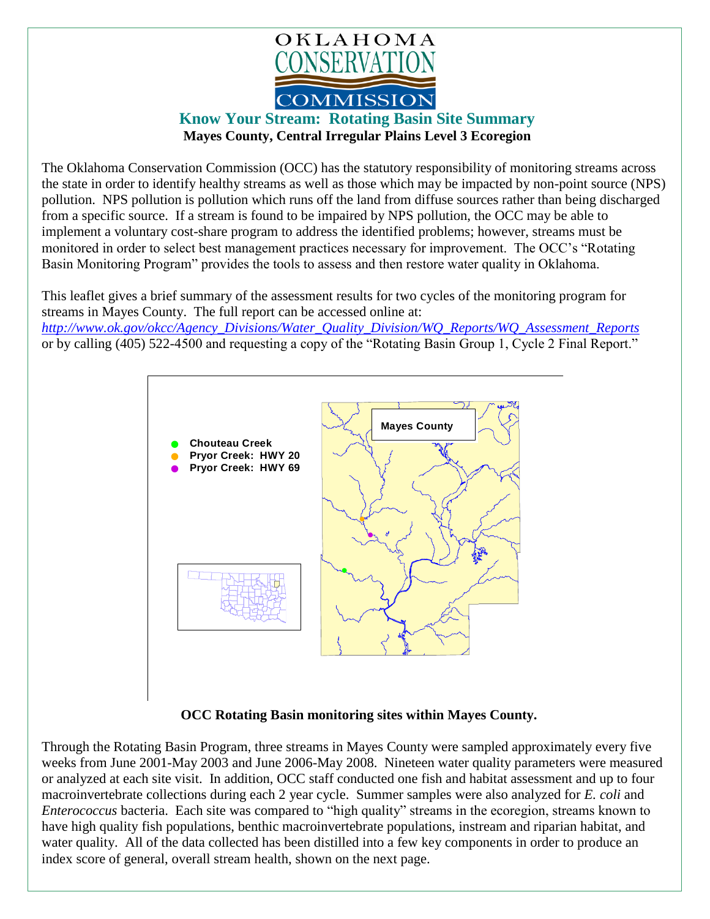

## **Know Your Stream: Rotating Basin Site Summary Mayes County, Central Irregular Plains Level 3 Ecoregion**

The Oklahoma Conservation Commission (OCC) has the statutory responsibility of monitoring streams across the state in order to identify healthy streams as well as those which may be impacted by non-point source (NPS) pollution. NPS pollution is pollution which runs off the land from diffuse sources rather than being discharged from a specific source. If a stream is found to be impaired by NPS pollution, the OCC may be able to implement a voluntary cost-share program to address the identified problems; however, streams must be monitored in order to select best management practices necessary for improvement. The OCC's "Rotating Basin Monitoring Program" provides the tools to assess and then restore water quality in Oklahoma.

This leaflet gives a brief summary of the assessment results for two cycles of the monitoring program for streams in Mayes County. The full report can be accessed online at: *[http://www.ok.gov/okcc/Agency\\_Divisions/Water\\_Quality\\_Division/WQ\\_Reports/WQ\\_Assessment\\_Reports](http://www.ok.gov/okcc/Agency_Divisions/Water_Quality_Division/WQ_Reports/WQ_Assessment_Reports)*

or by calling (405) 522-4500 and requesting a copy of the "Rotating Basin Group 1, Cycle 2 Final Report."



## **OCC Rotating Basin monitoring sites within Mayes County.**

Through the Rotating Basin Program, three streams in Mayes County were sampled approximately every five weeks from June 2001-May 2003 and June 2006-May 2008. Nineteen water quality parameters were measured or analyzed at each site visit. In addition, OCC staff conducted one fish and habitat assessment and up to four macroinvertebrate collections during each 2 year cycle. Summer samples were also analyzed for *E. coli* and *Enterococcus* bacteria. Each site was compared to "high quality" streams in the ecoregion, streams known to have high quality fish populations, benthic macroinvertebrate populations, instream and riparian habitat, and water quality. All of the data collected has been distilled into a few key components in order to produce an index score of general, overall stream health, shown on the next page.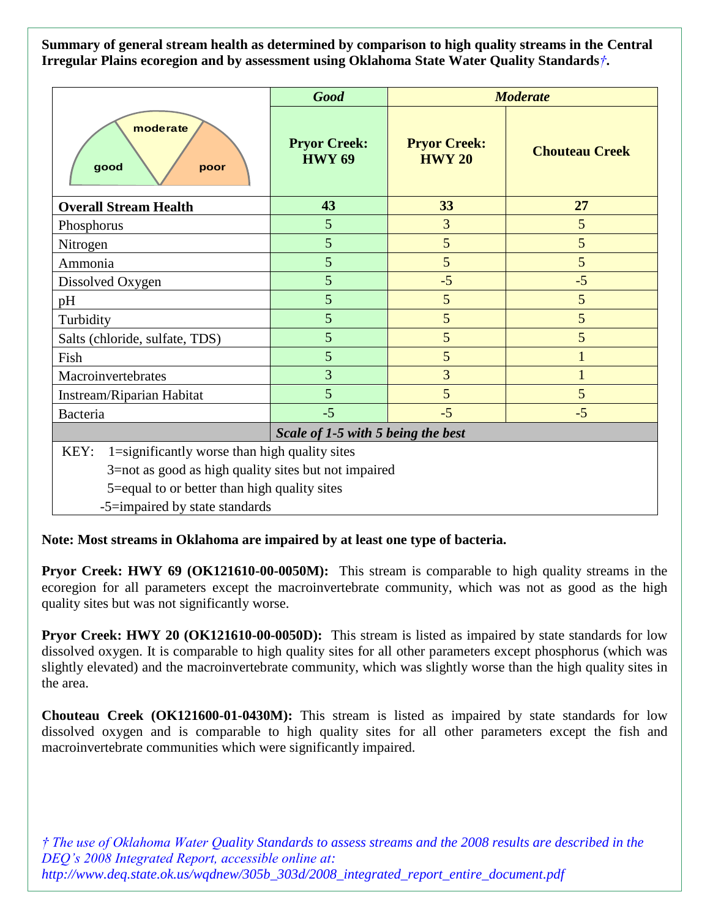**Summary of general stream health as determined by comparison to high quality streams in the Central Irregular Plains ecoregion and by assessment using Oklahoma State Water Quality Standards***†***.**

|                                                       | <b>Good</b>                          | <b>Moderate</b>                      |                       |
|-------------------------------------------------------|--------------------------------------|--------------------------------------|-----------------------|
| moderate<br>good<br>poor                              | <b>Pryor Creek:</b><br><b>HWY 69</b> | <b>Pryor Creek:</b><br><b>HWY 20</b> | <b>Chouteau Creek</b> |
| <b>Overall Stream Health</b>                          | 43                                   | 33                                   | 27                    |
| Phosphorus                                            | 5                                    | 3                                    | 5                     |
| Nitrogen                                              | 5                                    | 5                                    | 5                     |
| Ammonia                                               | 5                                    | 5                                    | 5                     |
| Dissolved Oxygen                                      | 5                                    | $-5$                                 | $-5$                  |
| pH                                                    | 5                                    | 5                                    | 5                     |
| Turbidity                                             | 5                                    | 5                                    | 5                     |
| Salts (chloride, sulfate, TDS)                        | 5                                    | 5                                    | 5                     |
| Fish                                                  | 5                                    | 5                                    |                       |
| Macroinvertebrates                                    | $\overline{3}$                       | 3                                    |                       |
| Instream/Riparian Habitat                             | 5                                    | 5                                    | 5                     |
| Bacteria                                              | $-5$                                 | $-5$                                 | $-5$                  |
| Scale of 1-5 with 5 being the best                    |                                      |                                      |                       |
| 1=significantly worse than high quality sites<br>KEY: |                                      |                                      |                       |
| 3=not as good as high quality sites but not impaired  |                                      |                                      |                       |
| 5=equal to or better than high quality sites          |                                      |                                      |                       |
| -5=impaired by state standards                        |                                      |                                      |                       |

**Note: Most streams in Oklahoma are impaired by at least one type of bacteria.**

**Pryor Creek: HWY 69 (OK121610-00-0050M):** This stream is comparable to high quality streams in the ecoregion for all parameters except the macroinvertebrate community, which was not as good as the high quality sites but was not significantly worse.

**Pryor Creek: HWY 20 (OK121610-00-0050D):** This stream is listed as impaired by state standards for low dissolved oxygen. It is comparable to high quality sites for all other parameters except phosphorus (which was slightly elevated) and the macroinvertebrate community, which was slightly worse than the high quality sites in the area.

**Chouteau Creek (OK121600-01-0430M):** This stream is listed as impaired by state standards for low dissolved oxygen and is comparable to high quality sites for all other parameters except the fish and macroinvertebrate communities which were significantly impaired.

*† The use of Oklahoma Water Quality Standards to assess streams and the 2008 results are described in the DEQ's 2008 Integrated Report, accessible online at: http://www.deq.state.ok.us/wqdnew/305b\_303d/2008\_integrated\_report\_entire\_document.pdf*